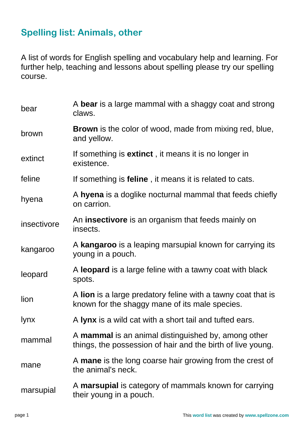## **Spelling list: Animals, other**

A list of words for English spelling and vocabulary help and learning. For further help, teaching and lessons about spelling please try our spelling course.

| bear        | A bear is a large mammal with a shaggy coat and strong<br>claws.                                                   |
|-------------|--------------------------------------------------------------------------------------------------------------------|
| brown       | <b>Brown</b> is the color of wood, made from mixing red, blue,<br>and yellow.                                      |
| extinct     | If something is <b>extinct</b> , it means it is no longer in<br>existence.                                         |
| feline      | If something is <b>feline</b> , it means it is related to cats.                                                    |
| hyena       | A hyena is a doglike nocturnal mammal that feeds chiefly<br>on carrion.                                            |
| insectivore | An <b>insectivore</b> is an organism that feeds mainly on<br>insects.                                              |
| kangaroo    | A kangaroo is a leaping marsupial known for carrying its<br>young in a pouch.                                      |
| leopard     | A leopard is a large feline with a tawny coat with black<br>spots.                                                 |
| lion        | A lion is a large predatory feline with a tawny coat that is<br>known for the shaggy mane of its male species.     |
| <b>lynx</b> | A lynx is a wild cat with a short tail and tufted ears.                                                            |
| mammal      | A mammal is an animal distinguished by, among other<br>things, the possession of hair and the birth of live young. |
| mane        | A mane is the long coarse hair growing from the crest of<br>the animal's neck.                                     |
| marsupial   | A <b>marsupial</b> is category of mammals known for carrying<br>their young in a pouch.                            |